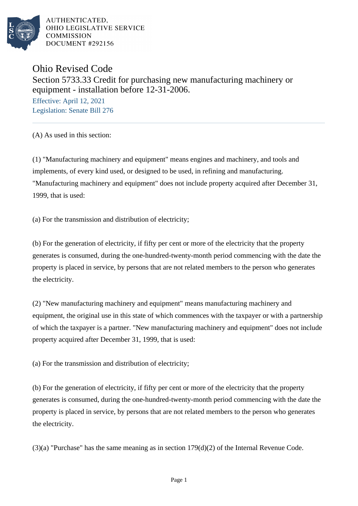

## Ohio Revised Code Section 5733.33 Credit for purchasing new manufacturing machinery or equipment - installation before 12-31-2006.

Effective: April 12, 2021 Legislation: Senate Bill 276

(A) As used in this section:

(1) "Manufacturing machinery and equipment" means engines and machinery, and tools and implements, of every kind used, or designed to be used, in refining and manufacturing. "Manufacturing machinery and equipment" does not include property acquired after December 31, 1999, that is used:

(a) For the transmission and distribution of electricity;

(b) For the generation of electricity, if fifty per cent or more of the electricity that the property generates is consumed, during the one-hundred-twenty-month period commencing with the date the property is placed in service, by persons that are not related members to the person who generates the electricity.

(2) "New manufacturing machinery and equipment" means manufacturing machinery and equipment, the original use in this state of which commences with the taxpayer or with a partnership of which the taxpayer is a partner. "New manufacturing machinery and equipment" does not include property acquired after December 31, 1999, that is used:

(a) For the transmission and distribution of electricity;

(b) For the generation of electricity, if fifty per cent or more of the electricity that the property generates is consumed, during the one-hundred-twenty-month period commencing with the date the property is placed in service, by persons that are not related members to the person who generates the electricity.

 $(3)(a)$  "Purchase" has the same meaning as in section 179 $(d)(2)$  of the Internal Revenue Code.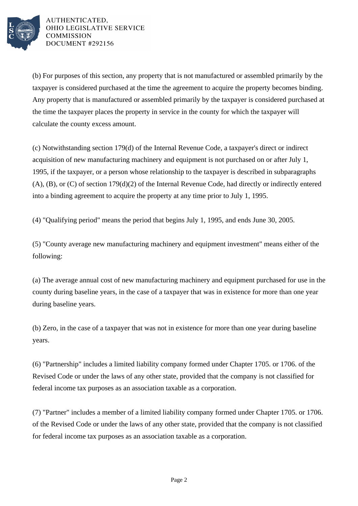

(b) For purposes of this section, any property that is not manufactured or assembled primarily by the taxpayer is considered purchased at the time the agreement to acquire the property becomes binding. Any property that is manufactured or assembled primarily by the taxpayer is considered purchased at the time the taxpayer places the property in service in the county for which the taxpayer will calculate the county excess amount.

(c) Notwithstanding section 179(d) of the Internal Revenue Code, a taxpayer's direct or indirect acquisition of new manufacturing machinery and equipment is not purchased on or after July 1, 1995, if the taxpayer, or a person whose relationship to the taxpayer is described in subparagraphs (A), (B), or (C) of section 179(d)(2) of the Internal Revenue Code, had directly or indirectly entered into a binding agreement to acquire the property at any time prior to July 1, 1995.

(4) "Qualifying period" means the period that begins July 1, 1995, and ends June 30, 2005.

(5) "County average new manufacturing machinery and equipment investment" means either of the following:

(a) The average annual cost of new manufacturing machinery and equipment purchased for use in the county during baseline years, in the case of a taxpayer that was in existence for more than one year during baseline years.

(b) Zero, in the case of a taxpayer that was not in existence for more than one year during baseline years.

(6) "Partnership" includes a limited liability company formed under Chapter 1705. or 1706. of the Revised Code or under the laws of any other state, provided that the company is not classified for federal income tax purposes as an association taxable as a corporation.

(7) "Partner" includes a member of a limited liability company formed under Chapter 1705. or 1706. of the Revised Code or under the laws of any other state, provided that the company is not classified for federal income tax purposes as an association taxable as a corporation.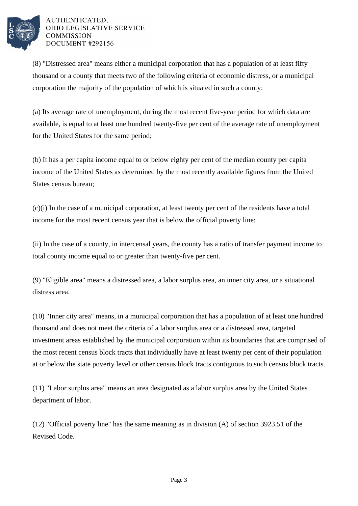

(8) "Distressed area" means either a municipal corporation that has a population of at least fifty thousand or a county that meets two of the following criteria of economic distress, or a municipal corporation the majority of the population of which is situated in such a county:

(a) Its average rate of unemployment, during the most recent five-year period for which data are available, is equal to at least one hundred twenty-five per cent of the average rate of unemployment for the United States for the same period;

(b) It has a per capita income equal to or below eighty per cent of the median county per capita income of the United States as determined by the most recently available figures from the United States census bureau;

(c)(i) In the case of a municipal corporation, at least twenty per cent of the residents have a total income for the most recent census year that is below the official poverty line;

(ii) In the case of a county, in intercensal years, the county has a ratio of transfer payment income to total county income equal to or greater than twenty-five per cent.

(9) "Eligible area" means a distressed area, a labor surplus area, an inner city area, or a situational distress area.

(10) "Inner city area" means, in a municipal corporation that has a population of at least one hundred thousand and does not meet the criteria of a labor surplus area or a distressed area, targeted investment areas established by the municipal corporation within its boundaries that are comprised of the most recent census block tracts that individually have at least twenty per cent of their population at or below the state poverty level or other census block tracts contiguous to such census block tracts.

(11) "Labor surplus area" means an area designated as a labor surplus area by the United States department of labor.

(12) "Official poverty line" has the same meaning as in division (A) of section 3923.51 of the Revised Code.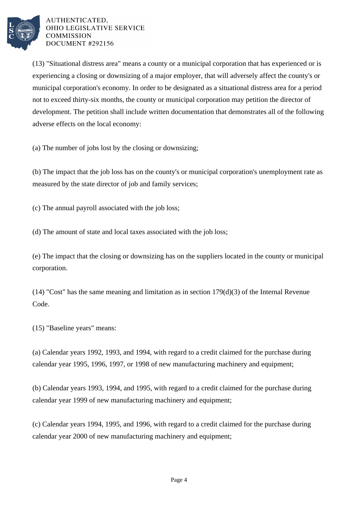

(13) "Situational distress area" means a county or a municipal corporation that has experienced or is experiencing a closing or downsizing of a major employer, that will adversely affect the county's or municipal corporation's economy. In order to be designated as a situational distress area for a period not to exceed thirty-six months, the county or municipal corporation may petition the director of development. The petition shall include written documentation that demonstrates all of the following adverse effects on the local economy:

(a) The number of jobs lost by the closing or downsizing;

(b) The impact that the job loss has on the county's or municipal corporation's unemployment rate as measured by the state director of job and family services;

(c) The annual payroll associated with the job loss;

(d) The amount of state and local taxes associated with the job loss;

(e) The impact that the closing or downsizing has on the suppliers located in the county or municipal corporation.

(14) "Cost" has the same meaning and limitation as in section  $179(d)(3)$  of the Internal Revenue Code.

(15) "Baseline years" means:

(a) Calendar years 1992, 1993, and 1994, with regard to a credit claimed for the purchase during calendar year 1995, 1996, 1997, or 1998 of new manufacturing machinery and equipment;

(b) Calendar years 1993, 1994, and 1995, with regard to a credit claimed for the purchase during calendar year 1999 of new manufacturing machinery and equipment;

(c) Calendar years 1994, 1995, and 1996, with regard to a credit claimed for the purchase during calendar year 2000 of new manufacturing machinery and equipment;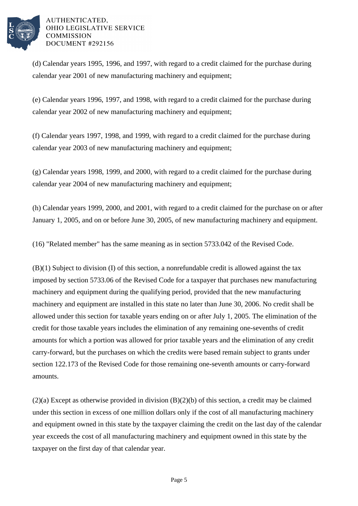

(d) Calendar years 1995, 1996, and 1997, with regard to a credit claimed for the purchase during calendar year 2001 of new manufacturing machinery and equipment;

(e) Calendar years 1996, 1997, and 1998, with regard to a credit claimed for the purchase during calendar year 2002 of new manufacturing machinery and equipment;

(f) Calendar years 1997, 1998, and 1999, with regard to a credit claimed for the purchase during calendar year 2003 of new manufacturing machinery and equipment;

(g) Calendar years 1998, 1999, and 2000, with regard to a credit claimed for the purchase during calendar year 2004 of new manufacturing machinery and equipment;

(h) Calendar years 1999, 2000, and 2001, with regard to a credit claimed for the purchase on or after January 1, 2005, and on or before June 30, 2005, of new manufacturing machinery and equipment.

(16) "Related member" has the same meaning as in section 5733.042 of the Revised Code.

(B)(1) Subject to division (I) of this section, a nonrefundable credit is allowed against the tax imposed by section 5733.06 of the Revised Code for a taxpayer that purchases new manufacturing machinery and equipment during the qualifying period, provided that the new manufacturing machinery and equipment are installed in this state no later than June 30, 2006. No credit shall be allowed under this section for taxable years ending on or after July 1, 2005. The elimination of the credit for those taxable years includes the elimination of any remaining one-sevenths of credit amounts for which a portion was allowed for prior taxable years and the elimination of any credit carry-forward, but the purchases on which the credits were based remain subject to grants under section 122.173 of the Revised Code for those remaining one-seventh amounts or carry-forward amounts.

(2)(a) Except as otherwise provided in division (B)(2)(b) of this section, a credit may be claimed under this section in excess of one million dollars only if the cost of all manufacturing machinery and equipment owned in this state by the taxpayer claiming the credit on the last day of the calendar year exceeds the cost of all manufacturing machinery and equipment owned in this state by the taxpayer on the first day of that calendar year.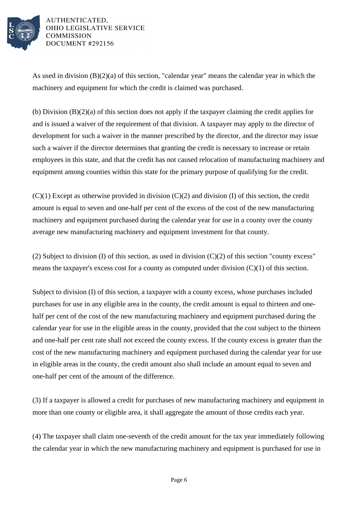

As used in division (B)(2)(a) of this section, "calendar year" means the calendar year in which the machinery and equipment for which the credit is claimed was purchased.

(b) Division (B)(2)(a) of this section does not apply if the taxpayer claiming the credit applies for and is issued a waiver of the requirement of that division. A taxpayer may apply to the director of development for such a waiver in the manner prescribed by the director, and the director may issue such a waiver if the director determines that granting the credit is necessary to increase or retain employees in this state, and that the credit has not caused relocation of manufacturing machinery and equipment among counties within this state for the primary purpose of qualifying for the credit.

 $(C)(1)$  Except as otherwise provided in division  $(C)(2)$  and division (I) of this section, the credit amount is equal to seven and one-half per cent of the excess of the cost of the new manufacturing machinery and equipment purchased during the calendar year for use in a county over the county average new manufacturing machinery and equipment investment for that county.

(2) Subject to division (I) of this section, as used in division  $(C)(2)$  of this section "county excess" means the taxpayer's excess cost for a county as computed under division  $(C)(1)$  of this section.

Subject to division (I) of this section, a taxpayer with a county excess, whose purchases included purchases for use in any eligible area in the county, the credit amount is equal to thirteen and onehalf per cent of the cost of the new manufacturing machinery and equipment purchased during the calendar year for use in the eligible areas in the county, provided that the cost subject to the thirteen and one-half per cent rate shall not exceed the county excess. If the county excess is greater than the cost of the new manufacturing machinery and equipment purchased during the calendar year for use in eligible areas in the county, the credit amount also shall include an amount equal to seven and one-half per cent of the amount of the difference.

(3) If a taxpayer is allowed a credit for purchases of new manufacturing machinery and equipment in more than one county or eligible area, it shall aggregate the amount of those credits each year.

(4) The taxpayer shall claim one-seventh of the credit amount for the tax year immediately following the calendar year in which the new manufacturing machinery and equipment is purchased for use in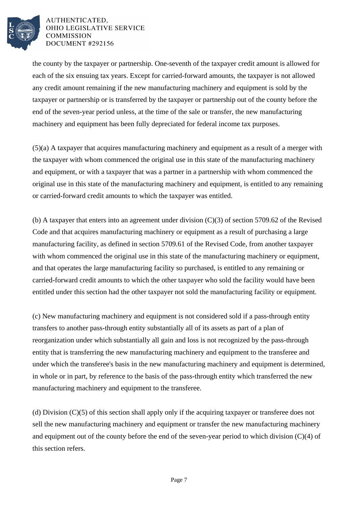

the county by the taxpayer or partnership. One-seventh of the taxpayer credit amount is allowed for each of the six ensuing tax years. Except for carried-forward amounts, the taxpayer is not allowed any credit amount remaining if the new manufacturing machinery and equipment is sold by the taxpayer or partnership or is transferred by the taxpayer or partnership out of the county before the end of the seven-year period unless, at the time of the sale or transfer, the new manufacturing machinery and equipment has been fully depreciated for federal income tax purposes.

(5)(a) A taxpayer that acquires manufacturing machinery and equipment as a result of a merger with the taxpayer with whom commenced the original use in this state of the manufacturing machinery and equipment, or with a taxpayer that was a partner in a partnership with whom commenced the original use in this state of the manufacturing machinery and equipment, is entitled to any remaining or carried-forward credit amounts to which the taxpayer was entitled.

(b) A taxpayer that enters into an agreement under division (C)(3) of section 5709.62 of the Revised Code and that acquires manufacturing machinery or equipment as a result of purchasing a large manufacturing facility, as defined in section 5709.61 of the Revised Code, from another taxpayer with whom commenced the original use in this state of the manufacturing machinery or equipment, and that operates the large manufacturing facility so purchased, is entitled to any remaining or carried-forward credit amounts to which the other taxpayer who sold the facility would have been entitled under this section had the other taxpayer not sold the manufacturing facility or equipment.

(c) New manufacturing machinery and equipment is not considered sold if a pass-through entity transfers to another pass-through entity substantially all of its assets as part of a plan of reorganization under which substantially all gain and loss is not recognized by the pass-through entity that is transferring the new manufacturing machinery and equipment to the transferee and under which the transferee's basis in the new manufacturing machinery and equipment is determined, in whole or in part, by reference to the basis of the pass-through entity which transferred the new manufacturing machinery and equipment to the transferee.

(d) Division (C)(5) of this section shall apply only if the acquiring taxpayer or transferee does not sell the new manufacturing machinery and equipment or transfer the new manufacturing machinery and equipment out of the county before the end of the seven-year period to which division (C)(4) of this section refers.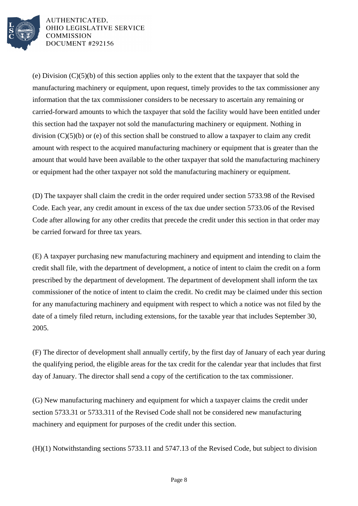

(e) Division (C)(5)(b) of this section applies only to the extent that the taxpayer that sold the manufacturing machinery or equipment, upon request, timely provides to the tax commissioner any information that the tax commissioner considers to be necessary to ascertain any remaining or carried-forward amounts to which the taxpayer that sold the facility would have been entitled under this section had the taxpayer not sold the manufacturing machinery or equipment. Nothing in division (C)(5)(b) or (e) of this section shall be construed to allow a taxpayer to claim any credit amount with respect to the acquired manufacturing machinery or equipment that is greater than the amount that would have been available to the other taxpayer that sold the manufacturing machinery or equipment had the other taxpayer not sold the manufacturing machinery or equipment.

(D) The taxpayer shall claim the credit in the order required under section 5733.98 of the Revised Code. Each year, any credit amount in excess of the tax due under section 5733.06 of the Revised Code after allowing for any other credits that precede the credit under this section in that order may be carried forward for three tax years.

(E) A taxpayer purchasing new manufacturing machinery and equipment and intending to claim the credit shall file, with the department of development, a notice of intent to claim the credit on a form prescribed by the department of development. The department of development shall inform the tax commissioner of the notice of intent to claim the credit. No credit may be claimed under this section for any manufacturing machinery and equipment with respect to which a notice was not filed by the date of a timely filed return, including extensions, for the taxable year that includes September 30, 2005.

(F) The director of development shall annually certify, by the first day of January of each year during the qualifying period, the eligible areas for the tax credit for the calendar year that includes that first day of January. The director shall send a copy of the certification to the tax commissioner.

(G) New manufacturing machinery and equipment for which a taxpayer claims the credit under section 5733.31 or 5733.311 of the Revised Code shall not be considered new manufacturing machinery and equipment for purposes of the credit under this section.

(H)(1) Notwithstanding sections 5733.11 and 5747.13 of the Revised Code, but subject to division